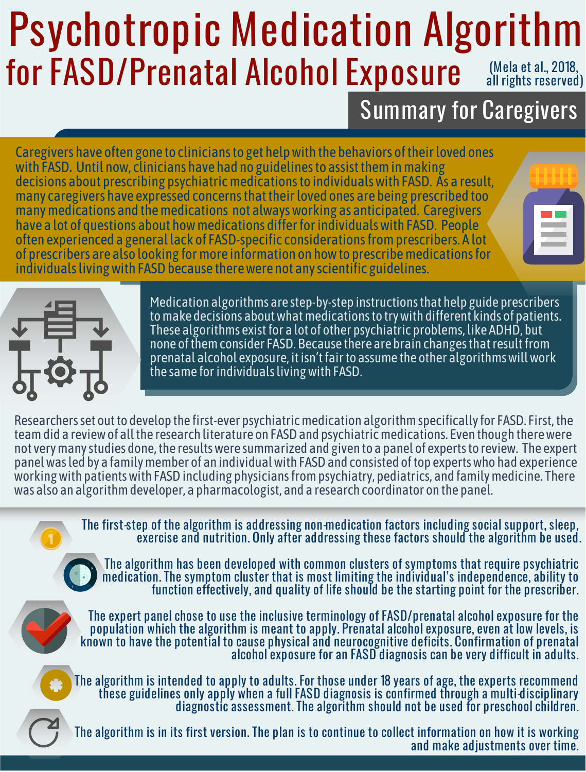## Psychotropic Medication Algorithm for FASD/Prenatal Alcohol Exposure (Mela et al., 2018, all rights reserved)

## Summary for Caregivers

Caregivers have often gone to cliniciansto get helpwith the behaviors oftheirloved ones with FASD. Until now, clinicians have had no guidelines to assist them in making decisions about prescribing psychiatricmedicationsto individualswith FASD. As a result, many caregivers have expressed concernsthattheirloved ones are being prescribed too many medications and the medications not always working as anticipated. Caregivers have a lot of questions about how medications differ for individuals with FASD. People often experienced a general lack of FASD-specific considerationsfromprescribers. A lot of prescribers are also looking for more information on how to prescribe medications for individuals living with FASD because there were not any scientific guidelines.





Medication algorithms are step-by-step instructionsthat help guide prescribers These algorithms exist for a lot of other psychiatric problems, like ADHD, but none of them consider FASD. Because there are brain changes that result from prenatal alcohol exposure, it isn't fair to assume the other algorithms will work the same forindividualslivingwith FASD.

Researchers set out to develop the first-ever psychiatric medication algorithm specifically for FASD. First, the team did a review of all the research literature on FASD and psychiatric medications. Even though there were not very many studies done, the results were summarized and given to a panel of experts to review. The expert panelwasled by a familymember of an individualwith FASDand consisted oftop expertswho had experience working with patients with FASD including physicians from psychiatry, pediatrics, and family medicine. There was also an algorithmdeveloper, a pharmacologist, and a research coordinator on the panel.